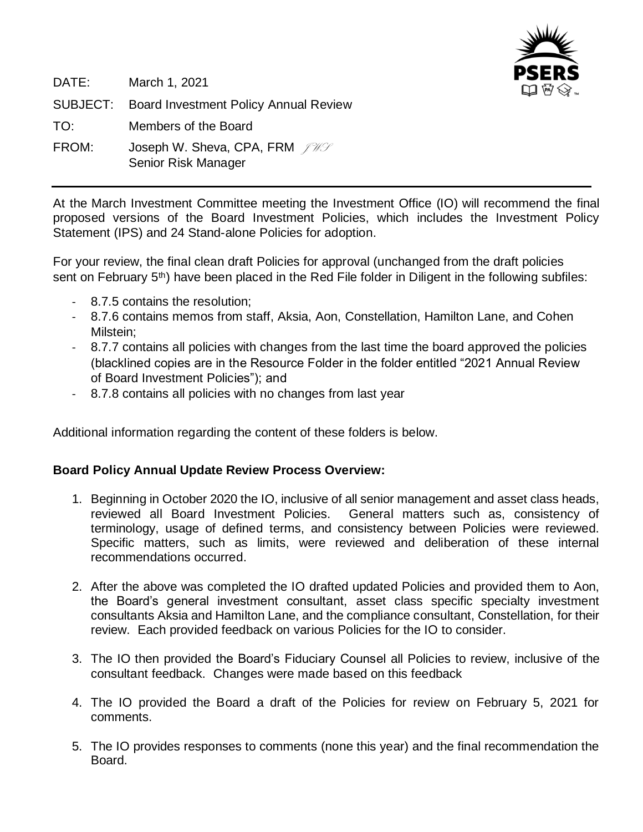

DATE: March 1, 2021 SUBJECT: Board Investment Policy Annual Review TO: Members of the Board FROM: Joseph W. Sheva, CPA, FRM  $f \mathcal{W}$ Senior Risk Manager

At the March Investment Committee meeting the Investment Office (IO) will recommend the final proposed versions of the Board Investment Policies, which includes the Investment Policy Statement (IPS) and 24 Stand-alone Policies for adoption.

For your review, the final clean draft Policies for approval (unchanged from the draft policies sent on February 5<sup>th</sup>) have been placed in the Red File folder in Diligent in the following subfiles:

- 8.7.5 contains the resolution;
- 8.7.6 contains memos from staff, Aksia, Aon, Constellation, Hamilton Lane, and Cohen Milstein;
- 8.7.7 contains all policies with changes from the last time the board approved the policies (blacklined copies are in the Resource Folder in the folder entitled "2021 Annual Review of Board Investment Policies"); and
- 8.7.8 contains all policies with no changes from last year

Additional information regarding the content of these folders is below.

#### **Board Policy Annual Update Review Process Overview:**

- 1. Beginning in October 2020 the IO, inclusive of all senior management and asset class heads, reviewed all Board Investment Policies. General matters such as, consistency of terminology, usage of defined terms, and consistency between Policies were reviewed. Specific matters, such as limits, were reviewed and deliberation of these internal recommendations occurred.
- 2. After the above was completed the IO drafted updated Policies and provided them to Aon, the Board's general investment consultant, asset class specific specialty investment consultants Aksia and Hamilton Lane, and the compliance consultant, Constellation, for their review. Each provided feedback on various Policies for the IO to consider.
- 3. The IO then provided the Board's Fiduciary Counsel all Policies to review, inclusive of the consultant feedback. Changes were made based on this feedback
- 4. The IO provided the Board a draft of the Policies for review on February 5, 2021 for comments.
- 5. The IO provides responses to comments (none this year) and the final recommendation the Board.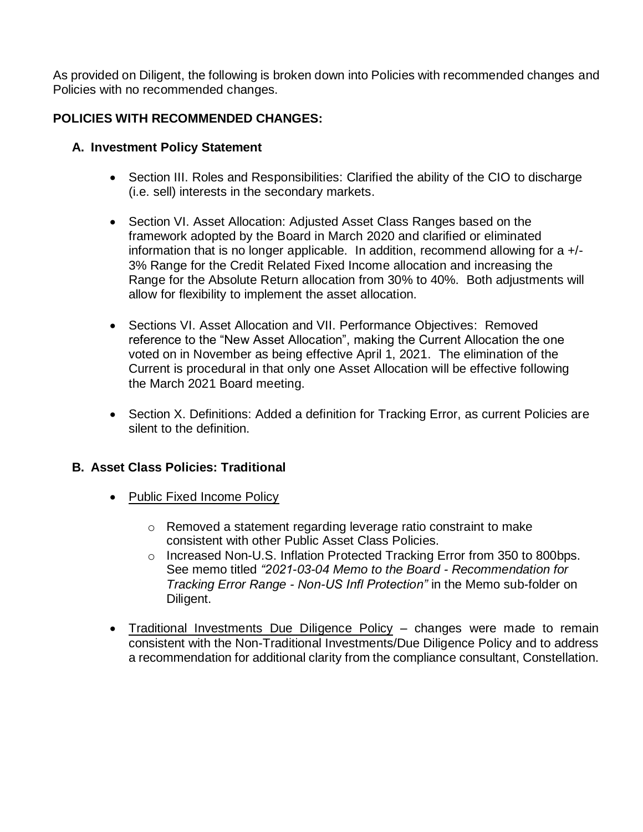As provided on Diligent, the following is broken down into Policies with recommended changes and Policies with no recommended changes.

# **POLICIES WITH RECOMMENDED CHANGES:**

### **A. Investment Policy Statement**

- Section III. Roles and Responsibilities: Clarified the ability of the CIO to discharge (i.e. sell) interests in the secondary markets.
- Section VI. Asset Allocation: Adjusted Asset Class Ranges based on the framework adopted by the Board in March 2020 and clarified or eliminated information that is no longer applicable. In addition, recommend allowing for a +/- 3% Range for the Credit Related Fixed Income allocation and increasing the Range for the Absolute Return allocation from 30% to 40%. Both adjustments will allow for flexibility to implement the asset allocation.
- Sections VI. Asset Allocation and VII. Performance Objectives: Removed reference to the "New Asset Allocation", making the Current Allocation the one voted on in November as being effective April 1, 2021. The elimination of the Current is procedural in that only one Asset Allocation will be effective following the March 2021 Board meeting.
- Section X. Definitions: Added a definition for Tracking Error, as current Policies are silent to the definition.

## **B. Asset Class Policies: Traditional**

- Public Fixed Income Policy
	- o Removed a statement regarding leverage ratio constraint to make consistent with other Public Asset Class Policies.
	- o Increased Non-U.S. Inflation Protected Tracking Error from 350 to 800bps. See memo titled *"2021-03-04 Memo to the Board - Recommendation for Tracking Error Range - Non-US Infl Protection"* in the Memo sub-folder on Diligent.
- Traditional Investments Due Diligence Policy changes were made to remain consistent with the Non-Traditional Investments/Due Diligence Policy and to address a recommendation for additional clarity from the compliance consultant, Constellation.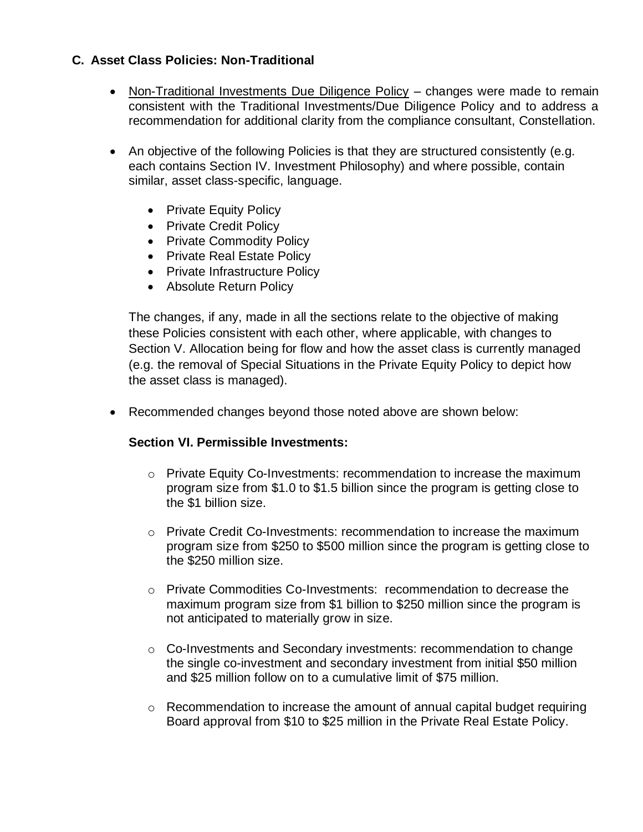### **C. Asset Class Policies: Non-Traditional**

- Non-Traditional Investments Due Diligence Policy changes were made to remain consistent with the Traditional Investments/Due Diligence Policy and to address a recommendation for additional clarity from the compliance consultant, Constellation.
- An objective of the following Policies is that they are structured consistently (e.g. each contains Section IV. Investment Philosophy) and where possible, contain similar, asset class-specific, language.
	- Private Equity Policy
	- Private Credit Policy
	- Private Commodity Policy
	- Private Real Estate Policy
	- Private Infrastructure Policy
	- Absolute Return Policy

The changes, if any, made in all the sections relate to the objective of making these Policies consistent with each other, where applicable, with changes to Section V. Allocation being for flow and how the asset class is currently managed (e.g. the removal of Special Situations in the Private Equity Policy to depict how the asset class is managed).

• Recommended changes beyond those noted above are shown below:

#### **Section VI. Permissible Investments:**

- $\circ$  Private Equity Co-Investments: recommendation to increase the maximum program size from \$1.0 to \$1.5 billion since the program is getting close to the \$1 billion size.
- o Private Credit Co-Investments: recommendation to increase the maximum program size from \$250 to \$500 million since the program is getting close to the \$250 million size.
- o Private Commodities Co-Investments: recommendation to decrease the maximum program size from \$1 billion to \$250 million since the program is not anticipated to materially grow in size.
- o Co-Investments and Secondary investments: recommendation to change the single co-investment and secondary investment from initial \$50 million and \$25 million follow on to a cumulative limit of \$75 million.
- $\circ$  Recommendation to increase the amount of annual capital budget requiring Board approval from \$10 to \$25 million in the Private Real Estate Policy.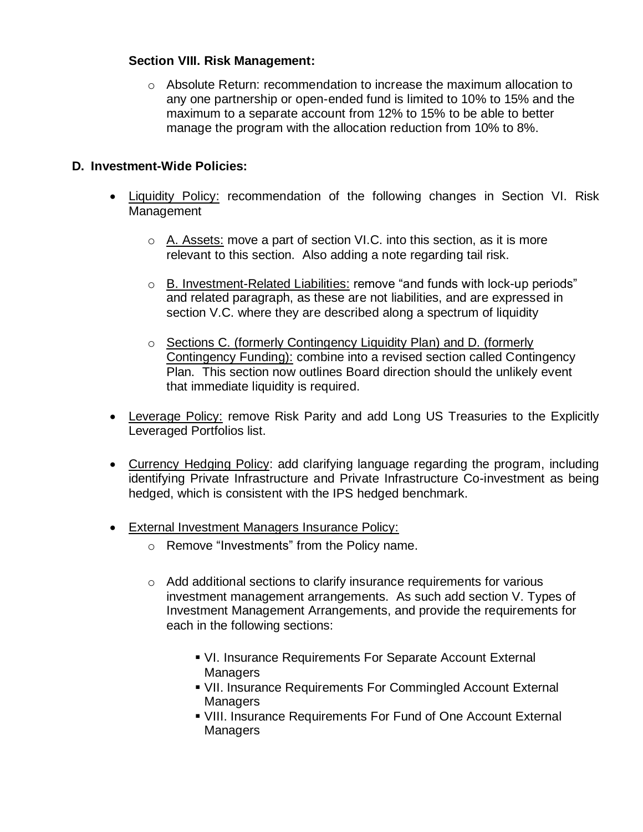#### **Section VIII. Risk Management:**

 $\circ$  Absolute Return: recommendation to increase the maximum allocation to any one partnership or open-ended fund is limited to 10% to 15% and the maximum to a separate account from 12% to 15% to be able to better manage the program with the allocation reduction from 10% to 8%.

### **D. Investment-Wide Policies:**

- Liquidity Policy: recommendation of the following changes in Section VI. Risk Management
	- $\circ$  A. Assets: move a part of section VI.C. into this section, as it is more relevant to this section. Also adding a note regarding tail risk.
	- o B. Investment-Related Liabilities: remove "and funds with lock-up periods" and related paragraph, as these are not liabilities, and are expressed in section V.C. where they are described along a spectrum of liquidity
	- o Sections C. (formerly Contingency Liquidity Plan) and D. (formerly Contingency Funding): combine into a revised section called Contingency Plan. This section now outlines Board direction should the unlikely event that immediate liquidity is required.
- Leverage Policy: remove Risk Parity and add Long US Treasuries to the Explicitly Leveraged Portfolios list.
- Currency Hedging Policy: add clarifying language regarding the program, including identifying Private Infrastructure and Private Infrastructure Co-investment as being hedged, which is consistent with the IPS hedged benchmark.
- External Investment Managers Insurance Policy:
	- o Remove "Investments" from the Policy name.
	- $\circ$  Add additional sections to clarify insurance requirements for various investment management arrangements. As such add section V. Types of Investment Management Arrangements, and provide the requirements for each in the following sections:
		- VI. Insurance Requirements For Separate Account External **Managers**
		- VII. Insurance Requirements For Commingled Account External Managers
		- **. VIII. Insurance Requirements For Fund of One Account External** Managers